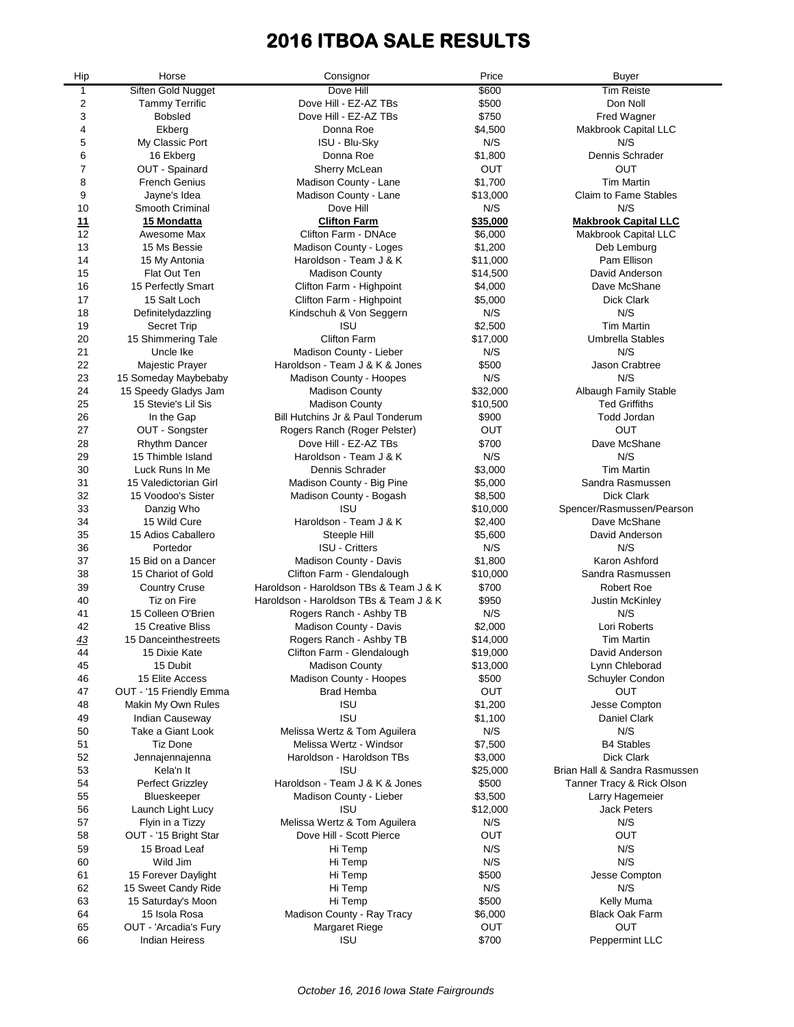# **2016 ITBOA SALE RESULTS**

 $\overline{\phantom{0}}$ 

| Hip       | Horse                                | Consignor                                               | Price              | <b>Buyer</b>                         |
|-----------|--------------------------------------|---------------------------------------------------------|--------------------|--------------------------------------|
| 1         | Siften Gold Nugget                   | Dove Hill                                               | \$600              | <b>Tim Reiste</b>                    |
| 2         | <b>Tammy Terrific</b>                | Dove Hill - EZ-AZ TBs                                   | \$500              | Don Noll                             |
| 3         | <b>Bobsled</b>                       | Dove Hill - EZ-AZ TBs                                   | \$750              | Fred Wagner                          |
| 4         | Ekberg                               | Donna Roe                                               | \$4,500            | Makbrook Capital LLC                 |
| 5         | My Classic Port                      | <b>ISU - Blu-Sky</b>                                    | N/S                | N/S                                  |
| 6         | 16 Ekberg                            | Donna Roe                                               | \$1,800            | Dennis Schrader                      |
| 7         | OUT - Spainard                       | <b>Sherry McLean</b>                                    | OUT                | OUT                                  |
| 8         | <b>French Genius</b>                 | Madison County - Lane                                   | \$1,700            | <b>Tim Martin</b>                    |
| 9         | Jayne's Idea                         | Madison County - Lane                                   | \$13,000           | <b>Claim to Fame Stables</b>         |
| 10        | Smooth Criminal                      | Dove Hill                                               | N/S                | N/S                                  |
| <u>11</u> | 15 Mondatta                          | <b>Clifton Farm</b>                                     | \$35,000           | <b>Makbrook Capital LLC</b>          |
| 12        | Awesome Max                          | Clifton Farm - DNAce                                    | \$6,000            | Makbrook Capital LLC                 |
| 13        | 15 Ms Bessie                         | Madison County - Loges                                  | \$1,200            | Deb Lemburg                          |
| 14        | 15 My Antonia                        | Haroldson - Team J & K                                  | \$11,000           | Pam Ellison                          |
| 15        | <b>Flat Out Ten</b>                  | <b>Madison County</b>                                   | \$14,500           | David Anderson                       |
| 16        | 15 Perfectly Smart                   | Clifton Farm - Highpoint                                | \$4,000            | Dave McShane                         |
| 17        | 15 Salt Loch                         | Clifton Farm - Highpoint                                | \$5,000            | <b>Dick Clark</b>                    |
| 18        | Definitelydazzling                   | Kindschuh & Von Seggern                                 | N/S                | N/S                                  |
| 19        | <b>Secret Trip</b>                   | <b>ISU</b>                                              | \$2,500            | <b>Tim Martin</b>                    |
| 20        | 15 Shimmering Tale                   | <b>Clifton Farm</b>                                     | \$17,000           | <b>Umbrella Stables</b>              |
| 21        | Uncle Ike                            | Madison County - Lieber                                 | N/S                | N/S                                  |
| 22        | <b>Majestic Prayer</b>               | Haroldson - Team J & K & Jones                          | \$500              | Jason Crabtree                       |
| 23        | 15 Someday Maybebaby                 | Madison County - Hoopes                                 | N/S                | N/S                                  |
| 24        | 15 Speedy Gladys Jam                 | <b>Madison County</b>                                   | \$32,000           | Albaugh Family Stable                |
| 25        | 15 Stevie's Lil Sis                  | <b>Madison County</b>                                   | \$10,500           | <b>Ted Griffiths</b>                 |
| 26        | In the Gap                           | Bill Hutchins Jr & Paul Tonderum                        | \$900              | <b>Todd Jordan</b>                   |
| 27        | OUT - Songster                       | Rogers Ranch (Roger Pelster)                            | OUT                | OUT                                  |
| 28        | <b>Rhythm Dancer</b>                 | Dove Hill - EZ-AZ TBs                                   | \$700              | Dave McShane                         |
| 29        | 15 Thimble Island                    | Haroldson - Team J & K                                  | N/S                | N/S                                  |
| 30        | Luck Runs In Me                      | Dennis Schrader                                         | \$3,000            | <b>Tim Martin</b>                    |
| 31        | 15 Valedictorian Girl                | Madison County - Big Pine                               | \$5,000            | Sandra Rasmussen                     |
| 32        | 15 Voodoo's Sister                   | Madison County - Bogash                                 | \$8,500            | <b>Dick Clark</b>                    |
| 33        | Danzig Who                           | <b>ISU</b>                                              | \$10,000           | Spencer/Rasmussen/Pearson            |
| 34        | 15 Wild Cure                         | Haroldson - Team J & K                                  | \$2,400            | Dave McShane                         |
| 35        | 15 Adios Caballero                   | Steeple Hill                                            | \$5,600            | David Anderson                       |
| 36        | Portedor                             | <b>ISU - Critters</b>                                   | N/S                | N/S                                  |
| 37        | 15 Bid on a Dancer                   | Madison County - Davis                                  | \$1,800            | Karon Ashford                        |
| 38        | 15 Chariot of Gold                   | Clifton Farm - Glendalough                              | \$10,000           | Sandra Rasmussen                     |
| 39        | <b>Country Cruse</b>                 | Haroldson - Haroldson TBs & Team J & K                  | \$700              | <b>Robert Roe</b>                    |
| 40        | Tiz on Fire                          | Haroldson - Haroldson TBs & Team J & K                  | \$950              | Justin McKinley                      |
| 41        | 15 Colleen O'Brien                   | Rogers Ranch - Ashby TB                                 | N/S                | N/S                                  |
| 42        | <b>15 Creative Bliss</b>             | Madison County - Davis                                  | \$2,000            | Lori Roberts                         |
| 43        | 15 Danceinthestreets                 | Rogers Ranch - Ashby TB                                 | \$14,000           | <b>Tim Martin</b>                    |
| 44        | 15 Dixie Kate                        | Clifton Farm - Glendalough                              | \$19,000           | David Anderson                       |
| 45        | 15 Dubit                             | <b>Madison County</b>                                   | \$13,000           | Lynn Chleborad                       |
| 46        | 15 Elite Access                      | Madison County - Hoopes                                 | \$500              | Schuyler Condon                      |
| 47        | OUT - '15 Friendly Emma              | <b>Brad Hemba</b>                                       | OUT                | <b>OUT</b>                           |
| 48        | Makin My Own Rules                   | ISU<br><b>ISU</b>                                       | \$1,200            | Jesse Compton<br><b>Daniel Clark</b> |
| 49        | Indian Causeway<br>Take a Giant Look |                                                         | \$1,100<br>N/S     | N/S                                  |
| 50<br>51  | <b>Tiz Done</b>                      | Melissa Wertz & Tom Aguilera<br>Melissa Wertz - Windsor |                    | <b>B4 Stables</b>                    |
| 52        | Jennajennajenna                      | Haroldson - Haroldson TBs                               | \$7,500<br>\$3,000 | <b>Dick Clark</b>                    |
| 53        | Kela'n It                            | ISU                                                     | \$25,000           | Brian Hall & Sandra Rasmussen        |
| 54        | Perfect Grizzley                     | Haroldson - Team J & K & Jones                          | \$500              | Tanner Tracy & Rick Olson            |
| 55        | Blueskeeper                          | Madison County - Lieber                                 | \$3,500            | Larry Hagemeier                      |
| 56        | Launch Light Lucy                    | <b>ISU</b>                                              | \$12,000           | <b>Jack Peters</b>                   |
| 57        | Flyin in a Tizzy                     | Melissa Wertz & Tom Aguilera                            | N/S                | N/S                                  |
| 58        | OUT - '15 Bright Star                | Dove Hill - Scott Pierce                                | OUT                | OUT                                  |
| 59        | 15 Broad Leaf                        | Hi Temp                                                 | N/S                | N/S                                  |
| 60        | Wild Jim                             | Hi Temp                                                 | N/S                | N/S                                  |
| 61        | 15 Forever Daylight                  | Hi Temp                                                 | \$500              | Jesse Compton                        |
| 62        | 15 Sweet Candy Ride                  | Hi Temp                                                 | N/S                | N/S                                  |
| 63        | 15 Saturday's Moon                   | Hi Temp                                                 | \$500              | Kelly Muma                           |
| 64        | 15 Isola Rosa                        | Madison County - Ray Tracy                              | \$6,000            | <b>Black Oak Farm</b>                |
| 65        | OUT - 'Arcadia's Fury                | <b>Margaret Riege</b>                                   | OUT                | OUT                                  |
| 66        | <b>Indian Heiress</b>                | <b>ISU</b>                                              | \$700              | Peppermint LLC                       |